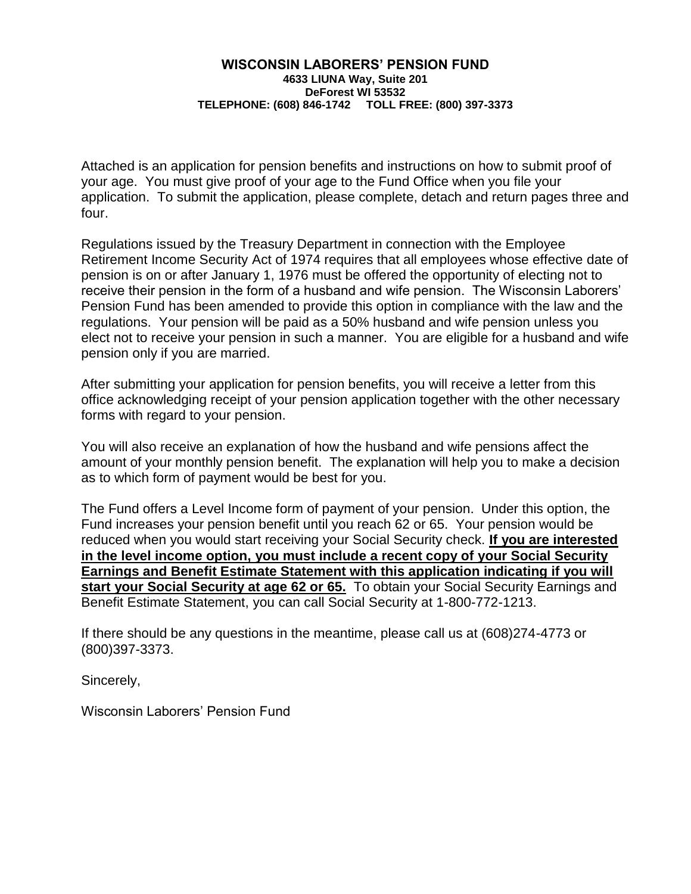### **WISCONSIN LABORERS' PENSION FUND 4633 LIUNA Way, Suite 201 DeForest WI 53532 TELEPHONE: (608) 846-1742 TOLL FREE: (800) 397-3373**

Attached is an application for pension benefits and instructions on how to submit proof of your age. You must give proof of your age to the Fund Office when you file your application. To submit the application, please complete, detach and return pages three and four.

Regulations issued by the Treasury Department in connection with the Employee Retirement Income Security Act of 1974 requires that all employees whose effective date of pension is on or after January 1, 1976 must be offered the opportunity of electing not to receive their pension in the form of a husband and wife pension. The Wisconsin Laborers' Pension Fund has been amended to provide this option in compliance with the law and the regulations. Your pension will be paid as a 50% husband and wife pension unless you elect not to receive your pension in such a manner. You are eligible for a husband and wife pension only if you are married.

After submitting your application for pension benefits, you will receive a letter from this office acknowledging receipt of your pension application together with the other necessary forms with regard to your pension.

You will also receive an explanation of how the husband and wife pensions affect the amount of your monthly pension benefit. The explanation will help you to make a decision as to which form of payment would be best for you.

The Fund offers a Level Income form of payment of your pension. Under this option, the Fund increases your pension benefit until you reach 62 or 65. Your pension would be reduced when you would start receiving your Social Security check. **If you are interested in the level income option, you must include a recent copy of your Social Security Earnings and Benefit Estimate Statement with this application indicating if you will start your Social Security at age 62 or 65.** To obtain your Social Security Earnings and Benefit Estimate Statement, you can call Social Security at 1-800-772-1213.

If there should be any questions in the meantime, please call us at (608)274-4773 or (800)397-3373.

Sincerely,

Wisconsin Laborers' Pension Fund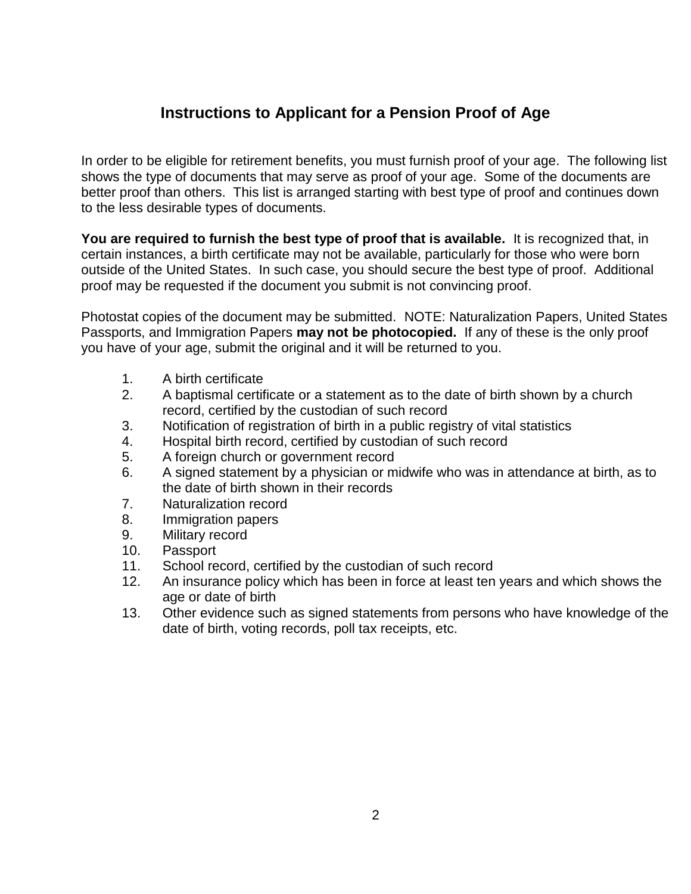# **Instructions to Applicant for a Pension Proof of Age**

In order to be eligible for retirement benefits, you must furnish proof of your age. The following list shows the type of documents that may serve as proof of your age. Some of the documents are better proof than others. This list is arranged starting with best type of proof and continues down to the less desirable types of documents.

**You are required to furnish the best type of proof that is available.** It is recognized that, in certain instances, a birth certificate may not be available, particularly for those who were born outside of the United States. In such case, you should secure the best type of proof. Additional proof may be requested if the document you submit is not convincing proof.

Photostat copies of the document may be submitted. NOTE: Naturalization Papers, United States Passports, and Immigration Papers **may not be photocopied.** If any of these is the only proof you have of your age, submit the original and it will be returned to you.

- 1. A birth certificate
- 2. A baptismal certificate or a statement as to the date of birth shown by a church record, certified by the custodian of such record
- 3. Notification of registration of birth in a public registry of vital statistics
- 4. Hospital birth record, certified by custodian of such record
- 5. A foreign church or government record
- 6. A signed statement by a physician or midwife who was in attendance at birth, as to the date of birth shown in their records
- 7. Naturalization record
- 8. Immigration papers
- 9. Military record
- 10. Passport
- 11. School record, certified by the custodian of such record
- 12. An insurance policy which has been in force at least ten years and which shows the age or date of birth
- 13. Other evidence such as signed statements from persons who have knowledge of the date of birth, voting records, poll tax receipts, etc.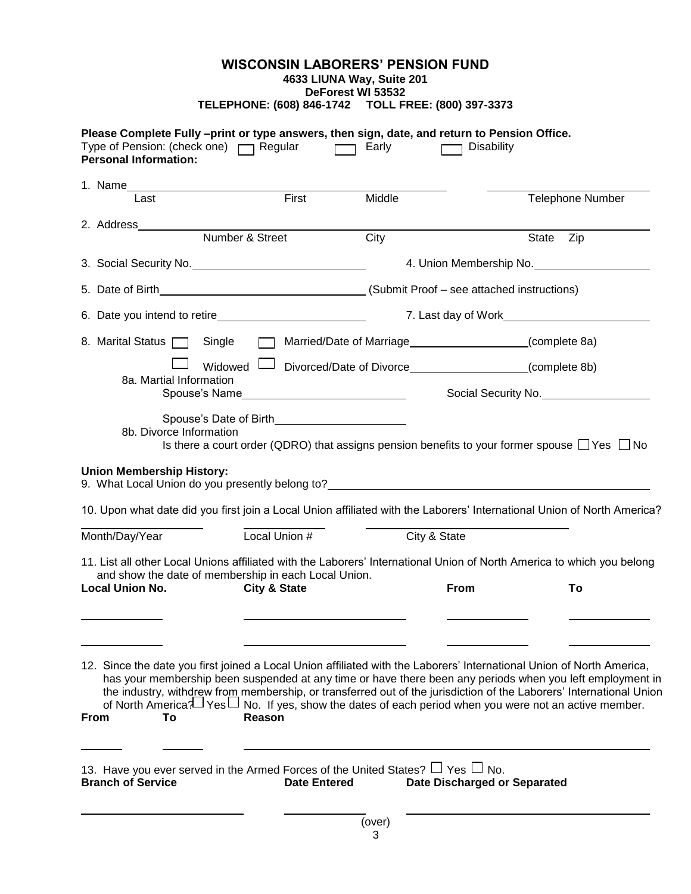## **WISCONSIN LABORERS' PENSION FUND**

### **4633 LIUNA Way, Suite 201**

**DeForest WI 53532 TELEPHONE: (608) 846-1742 TOLL FREE: (800) 397-3373**

| Please Complete Fully -print or type answers, then sign, date, and return to Pension Office.<br>Type of Pension: (check one)   Regular<br><b>Personal Information:</b>                                                                                                                                                                                                                             | $\sqrt{2}$                                                                                                                                                                                                                                                                                                                                          | Early               | <b>Disability</b>                      |                         |  |  |  |  |
|----------------------------------------------------------------------------------------------------------------------------------------------------------------------------------------------------------------------------------------------------------------------------------------------------------------------------------------------------------------------------------------------------|-----------------------------------------------------------------------------------------------------------------------------------------------------------------------------------------------------------------------------------------------------------------------------------------------------------------------------------------------------|---------------------|----------------------------------------|-------------------------|--|--|--|--|
|                                                                                                                                                                                                                                                                                                                                                                                                    |                                                                                                                                                                                                                                                                                                                                                     |                     |                                        |                         |  |  |  |  |
| Last                                                                                                                                                                                                                                                                                                                                                                                               | First                                                                                                                                                                                                                                                                                                                                               | Middle              |                                        | <b>Telephone Number</b> |  |  |  |  |
|                                                                                                                                                                                                                                                                                                                                                                                                    | Number & Street                                                                                                                                                                                                                                                                                                                                     | City                |                                        | State Zip               |  |  |  |  |
|                                                                                                                                                                                                                                                                                                                                                                                                    |                                                                                                                                                                                                                                                                                                                                                     |                     |                                        | 4. Union Membership No. |  |  |  |  |
|                                                                                                                                                                                                                                                                                                                                                                                                    |                                                                                                                                                                                                                                                                                                                                                     |                     |                                        |                         |  |  |  |  |
| 6. Date you intend to retire                                                                                                                                                                                                                                                                                                                                                                       |                                                                                                                                                                                                                                                                                                                                                     | 7. Last day of Work |                                        |                         |  |  |  |  |
| 8. Marital Status   Single                                                                                                                                                                                                                                                                                                                                                                         |                                                                                                                                                                                                                                                                                                                                                     |                     | Married/Date of Marriage (complete 8a) |                         |  |  |  |  |
|                                                                                                                                                                                                                                                                                                                                                                                                    | Widowed U Divorced/Date of Divorce_____________________(complete 8b)                                                                                                                                                                                                                                                                                |                     |                                        |                         |  |  |  |  |
| 8a. Martial Information                                                                                                                                                                                                                                                                                                                                                                            |                                                                                                                                                                                                                                                                                                                                                     | Social Security No. |                                        |                         |  |  |  |  |
| <b>Union Membership History:</b><br>9. What Local Union do you presently belong to? <b>Source All Accords</b> 2014 12:00 and 2014 12:00 and 2014 12:00 and 2014 12:00 and 2014 12:00 and 2014 12:00 and 2014 12:00 and 2014 12:00 and 2014 12:00 and 2014 12:00 and 201<br>10. Upon what date did you first join a Local Union affiliated with the Laborers' International Union of North America? |                                                                                                                                                                                                                                                                                                                                                     |                     |                                        |                         |  |  |  |  |
| Month/Day/Year                                                                                                                                                                                                                                                                                                                                                                                     | Local Union #                                                                                                                                                                                                                                                                                                                                       | City & State        |                                        |                         |  |  |  |  |
| 11. List all other Local Unions affiliated with the Laborers' International Union of North America to which you belong<br><b>Local Union No.</b>                                                                                                                                                                                                                                                   | and show the date of membership in each Local Union.<br><b>City &amp; State</b>                                                                                                                                                                                                                                                                     |                     | From                                   | To                      |  |  |  |  |
| 12. Since the date you first joined a Local Union affiliated with the Laborers' International Union of North America,<br>To<br><b>From</b>                                                                                                                                                                                                                                                         | has your membership been suspended at any time or have there been any periods when you left employment in<br>the industry, withdrew from membership, or transferred out of the jurisdiction of the Laborers' International Union<br>of North America? Yes U No. If yes, show the dates of each period when you were not an active member.<br>Reason |                     |                                        |                         |  |  |  |  |
| 13. Have you ever served in the Armed Forces of the United States? $\Box$ Yes $\Box$ No.<br><b>Branch of Service</b>                                                                                                                                                                                                                                                                               | <b>Date Entered</b>                                                                                                                                                                                                                                                                                                                                 |                     | <b>Date Discharged or Separated</b>    |                         |  |  |  |  |
| (over)                                                                                                                                                                                                                                                                                                                                                                                             |                                                                                                                                                                                                                                                                                                                                                     |                     |                                        |                         |  |  |  |  |